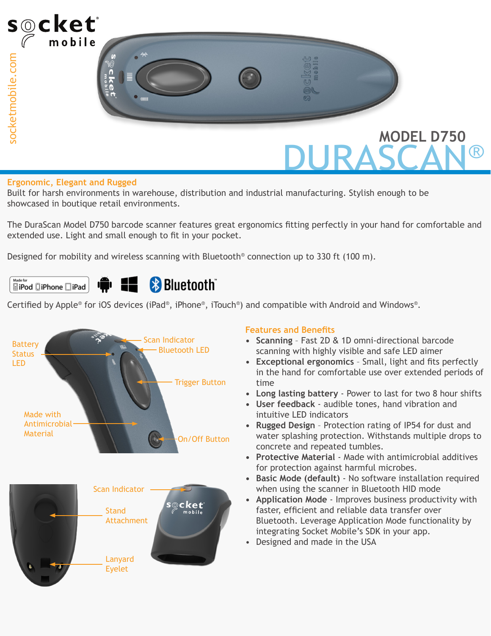

#### **Ergonomic, Elegant and Rugged**

Built for harsh environments in warehouse, distribution and industrial manufacturing. Stylish enough to be showcased in boutique retail environments.

The DuraScan Model D750 barcode scanner features great ergonomics fitting perfectly in your hand for comfortable and extended use. Light and small enough to fit in your pocket.

Designed for mobility and wireless scanning with Bluetooth® connection up to 330 ft (100 m).

#### Made for **Bluetooth**  $\hat{\mathbf{r}}$  (iii) **SiPod DiPhone DiPad**

Certified by Apple® for iOS devices (iPad®, iPhone®, iTouch®) and compatible with Android and Windows®.



#### **Features and Benefits**

- **• Scanning** Fast 2D & 1D omni-directional barcode scanning with highly visible and safe LED aimer
- **• Exceptional ergonomics** Small, light and fits perfectly in the hand for comfortable use over extended periods of time
- **• Long lasting battery** Power to last for two 8 hour shifts
- **• User feedback** audible tones, hand vibration and intuitive LED indicators
- **• Rugged Design** Protection rating of IP54 for dust and water splashing protection. Withstands multiple drops to concrete and repeated tumbles.
- **• Protective Material** Made with antimicrobial additives for protection against harmful microbes.
- **• Basic Mode (default)**  No software installation required when using the scanner in Bluetooth HID mode
- **• Application Mode** Improves business productivity with faster, efficient and reliable data transfer over Bluetooth. Leverage Application Mode functionality by integrating Socket Mobile's SDK in your app.
- Designed and made in the USA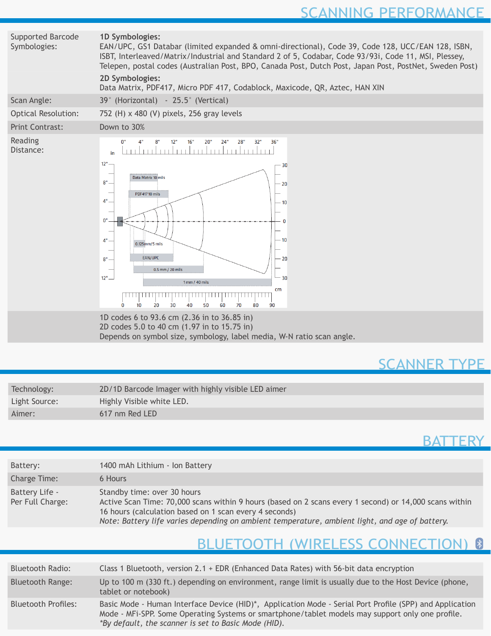# SCANNING PERFORMANCE

| Supported Barcode<br>Symbologies: | 1D Symbologies:<br>EAN/UPC, GS1 Databar (limited expanded & omni-directional), Code 39, Code 128, UCC/EAN 128, ISBN,<br>ISBT, Interleaved/Matrix/Industrial and Standard 2 of 5, Codabar, Code 93/93i, Code 11, MSI, Plessey,<br>Telepen, postal codes (Australian Post, BPO, Canada Post, Dutch Post, Japan Post, PostNet, Sweden Post)<br>2D Symbologies:<br>Data Matrix, PDF417, Micro PDF 417, Codablock, Maxicode, QR, Aztec, HAN XIN |  |  |  |  |
|-----------------------------------|--------------------------------------------------------------------------------------------------------------------------------------------------------------------------------------------------------------------------------------------------------------------------------------------------------------------------------------------------------------------------------------------------------------------------------------------|--|--|--|--|
| Scan Angle:                       | 39° (Horizontal) - 25.5° (Vertical)                                                                                                                                                                                                                                                                                                                                                                                                        |  |  |  |  |
| <b>Optical Resolution:</b>        | 752 (H) x 480 (V) pixels, 256 gray levels                                                                                                                                                                                                                                                                                                                                                                                                  |  |  |  |  |
| <b>Print Contrast:</b>            | Down to 30%                                                                                                                                                                                                                                                                                                                                                                                                                                |  |  |  |  |
| Reading<br>Distance:              | 28"<br>36"<br>16"<br>20"<br>24"<br>32"<br>mbubututu bubutu bubu<br>in<br>12"<br>30<br>Data Matrix 10 mils<br>8"<br>- 20<br><b>PDF41710 mils</b><br>4"<br>$-10$<br>0"<br>n<br>- 10<br>4"<br>0.125mm/5 mils<br>EAN/UPC<br>$-20$<br>$8" -$<br>0.5 mm / 20 mils<br>$12^{\circ}$ –<br>$-30$<br>1 mm / 40 mils<br>cm<br>30<br>40<br>50<br>U<br>10<br>20<br>60<br>70<br>80<br>90                                                                  |  |  |  |  |
|                                   | 1D codes 6 to 93.6 cm (2.36 in to 36.85 in)<br>2D codes 5.0 to 40 cm (1.97 in to 15.75 in)<br>Depends on symbol size, symbology, label media, W-N ratio scan angle.                                                                                                                                                                                                                                                                        |  |  |  |  |
|                                   |                                                                                                                                                                                                                                                                                                                                                                                                                                            |  |  |  |  |
|                                   | <b>LANNER TYPE</b>                                                                                                                                                                                                                                                                                                                                                                                                                         |  |  |  |  |

| Technology:   | 2D/1D Barcode Imager with highly visible LED aimer |
|---------------|----------------------------------------------------|
| Light Source: | Highly Visible white LED.                          |
| Aimer:        | 617 nm Red LED                                     |

# **BATTERY**

| Battery:                           | 1400 mAh Lithium - Ion Battery                                                                                                                                                                                                                                                                    |  |  |  |  |
|------------------------------------|---------------------------------------------------------------------------------------------------------------------------------------------------------------------------------------------------------------------------------------------------------------------------------------------------|--|--|--|--|
| Charge Time:                       | 6 Hours                                                                                                                                                                                                                                                                                           |  |  |  |  |
| Battery Life -<br>Per Full Charge: | Standby time: over 30 hours<br>Active Scan Time: 70,000 scans within 9 hours (based on 2 scans every 1 second) or 14,000 scans within<br>16 hours (calculation based on 1 scan every 4 seconds)<br>Note: Battery life varies depending on ambient temperature, ambient light, and age of battery. |  |  |  |  |

# BLUETOOTH (WIRELESS CONNECTION) 8

| <b>Bluetooth Radio:</b>    | Class 1 Bluetooth, version 2.1 + EDR (Enhanced Data Rates) with 56-bit data encryption                                                                                                                                                                               |  |  |  |  |
|----------------------------|----------------------------------------------------------------------------------------------------------------------------------------------------------------------------------------------------------------------------------------------------------------------|--|--|--|--|
| <b>Bluetooth Range:</b>    | Up to 100 m (330 ft.) depending on environment, range limit is usually due to the Host Device (phone,<br>tablet or notebook)                                                                                                                                         |  |  |  |  |
| <b>Bluetooth Profiles:</b> | Basic Mode - Human Interface Device (HID)*, Application Mode - Serial Port Profile (SPP) and Application<br>Mode - MFi-SPP. Some Operating Systems or smartphone/tablet models may support only one profile.<br>*By default, the scanner is set to Basic Mode (HID). |  |  |  |  |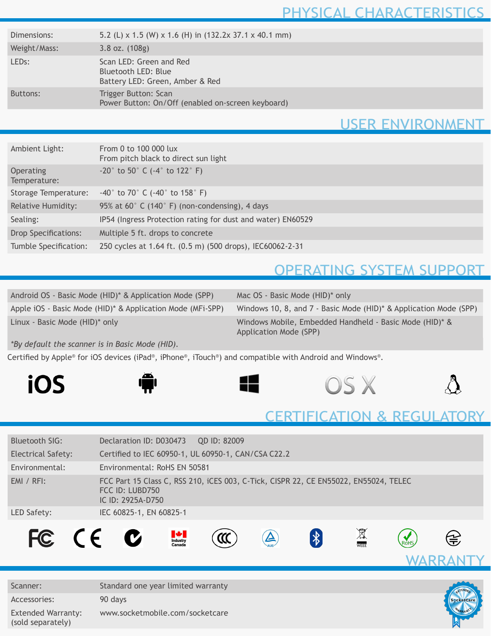#### PHYSICAL CHARACTERISTICS

| Dimensions:        | 5.2 (L) x 1.5 (W) x 1.6 (H) in (132.2x 37.1 x 40.1 mm)                            |
|--------------------|-----------------------------------------------------------------------------------|
| Weight/Mass:       | $3.8$ oz. $(108g)$                                                                |
| LED <sub>s</sub> : | Scan LED: Green and Red<br>Bluetooth LED: Blue<br>Battery LED: Green, Amber & Red |
| Buttons:           | Trigger Button: Scan<br>Power Button: On/Off (enabled on-screen keyboard)         |

### USER ENVIRONMENT

| Ambient Light:              | From 0 to 100 000 lux<br>From pitch black to direct sun light |
|-----------------------------|---------------------------------------------------------------|
| Operating<br>Temperature:   | $-20^{\circ}$ to 50° C ( $-4^{\circ}$ to 122° F)              |
| Storage Temperature:        | $-40^{\circ}$ to 70° C ( $-40^{\circ}$ to 158° F)             |
| <b>Relative Humidity:</b>   | 95% at 60° C (140° F) (non-condensing), 4 days                |
| Sealing:                    | IP54 (Ingress Protection rating for dust and water) EN60529   |
| <b>Drop Specifications:</b> | Multiple 5 ft. drops to concrete                              |
| Tumble Specification:       | 250 cycles at 1.64 ft. (0.5 m) (500 drops), IEC60062-2-31     |

### OPERATING SYSTEM SUPPORT

| Android OS - Basic Mode (HID)* & Application Mode (SPP)    | Mac OS - Basic Mode (HID)* only                                                   |
|------------------------------------------------------------|-----------------------------------------------------------------------------------|
| Apple iOS - Basic Mode (HID)* & Application Mode (MFI-SPP) | Windows 10, 8, and 7 - Basic Mode (HID)* & Application Mode (SPP)                 |
| Linux - Basic Mode (HID)* only                             | Windows Mobile, Embedded Handheld - Basic Mode (HID)* &<br>Application Mode (SPP) |

*\*By default the scanner is in Basic Mode (HID).*

Certified by Apple® for iOS devices (iPad®, iPhone®, iTouch®) and compatible with Android and Windows®.











#### CERTIFICATION & REGULATORY

| Bluetooth SIG:                                 | Declaration ID: D030473<br>QD ID: 82009                                                                                                                                                                                                                                                                                                                                                                                                                                                                                                                      |  |  |  |  |  |
|------------------------------------------------|--------------------------------------------------------------------------------------------------------------------------------------------------------------------------------------------------------------------------------------------------------------------------------------------------------------------------------------------------------------------------------------------------------------------------------------------------------------------------------------------------------------------------------------------------------------|--|--|--|--|--|
| <b>Electrical Safety:</b>                      | Certified to IEC 60950-1, UL 60950-1, CAN/CSA C22.2                                                                                                                                                                                                                                                                                                                                                                                                                                                                                                          |  |  |  |  |  |
| Environmental:                                 | Environmental: RoHS EN 50581                                                                                                                                                                                                                                                                                                                                                                                                                                                                                                                                 |  |  |  |  |  |
| $EMI / RFI$ :                                  | FCC Part 15 Class C, RSS 210, iCES 003, C-Tick, CISPR 22, CE EN55022, EN55024, TELEC<br>FCC ID: LUBD750<br>IC ID: 2925A-D750                                                                                                                                                                                                                                                                                                                                                                                                                                 |  |  |  |  |  |
| LED Safety:                                    | IEC 60825-1, EN 60825-1                                                                                                                                                                                                                                                                                                                                                                                                                                                                                                                                      |  |  |  |  |  |
| FC CE C                                        | WEEE<br>$\begin{array}{c}\n\bigoplus\nolimits_{\text{Industry}}\n\bigoplus\nolimits_{\text{Canada}}\n\bigoplus\nolimits_{\text{Canada}}\n\bigoplus\nolimits_{\text{Inquasi}}\n\bigoplus\nolimits_{\text{Inquasi}}\n\bigoplus\nolimits_{\text{Inquasi}}\n\bigoplus\nolimits_{\text{Inquasi}}\n\bigoplus\nolimits_{\text{Inquasi}}\n\bigoplus\nolimits_{\text{Inquasi}}\n\bigoplus\nolimits_{\text{Inquasi}}\n\bigoplus\nolimits_{\text{Inquasi}}\n\bigoplus\nolimits_{\text{Inquasi}}\n\bigoplus\nolimits_{\text$<br>$ \mathcal{X} $<br>金<br>$\blacktriangle$ |  |  |  |  |  |
| Scanner:                                       | Standard one year limited warranty                                                                                                                                                                                                                                                                                                                                                                                                                                                                                                                           |  |  |  |  |  |
| Accessories:                                   | 90 days<br>SocketCard                                                                                                                                                                                                                                                                                                                                                                                                                                                                                                                                        |  |  |  |  |  |
| <b>Extended Warranty:</b><br>(sold separately) | www.socketmobile.com/socketcare                                                                                                                                                                                                                                                                                                                                                                                                                                                                                                                              |  |  |  |  |  |